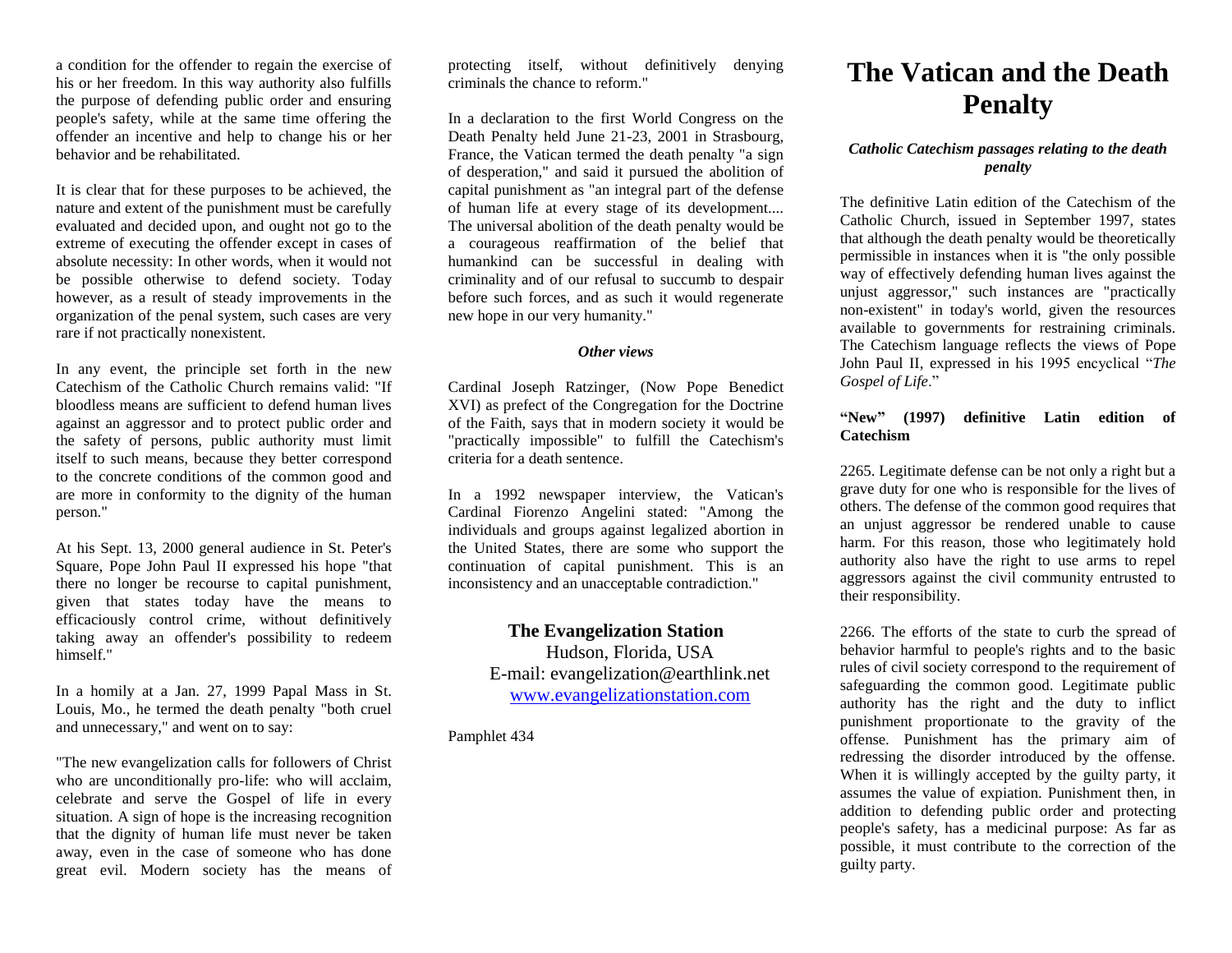a condition for the offender to regain the exercise of his or her freedom. In this way authority also fulfills the purpose of defending public order and ensuring people's safety, while at the same time offering the offender an incentive and help to change his or her behavior and be rehabilitated.

It is clear that for these purposes to be achieved, the nature and extent of the punishment must be carefully evaluated and decided upon, and ought not go to the extreme of executing the offender except in cases of absolute necessity: In other words, when it would not be possible otherwise to defend society. Today however, as a result of steady improvements in the organization of the penal system, such cases are very rare if not practically nonexistent.

In any event, the principle set forth in the new Catechism of the Catholic Church remains valid: "If bloodless means are sufficient to defend human lives against an aggressor and to protect public order and the safety of persons, public authority must limit itself to such means, because they better correspond to the concrete conditions of the common good and are more in conformity to the dignity of the human person."

At his Sept. 13, 2000 general audience in St. Peter's Square, Pope John Paul II expressed his hope "that there no longer be recourse to capital punishment, given that states today have the means to efficaciously control crime, without definitively taking away an offender's possibility to redeem himself."

In a homily at a Jan. 27, 1999 Papal Mass in St. Louis, Mo., he termed the death penalty "both cruel and unnecessary," and went on to say:

"The new evangelization calls for followers of Christ who are unconditionally pro-life: who will acclaim, celebrate and serve the Gospel of life in every situation. A sign of hope is the increasing recognition that the dignity of human life must never be taken away, even in the case of someone who has done great evil. Modern society has the means of protecting itself, without definitively denying criminals the chance to reform."

In a declaration to the first World Congress on the Death Penalty held June 21-23, 2001 in Strasbourg, France, the Vatican termed the death penalty "a sign of desperation," and said it pursued the abolition of capital punishment as "an integral part of the defense of human life at every stage of its development.... The universal abolition of the death penalty would be a courageous reaffirmation of the belief that humankind can be successful in dealing with criminality and of our refusal to succumb to despair before such forces, and as such it would regenerate new hope in our very humanity."

#### *Other views*

Cardinal Joseph Ratzinger, (Now Pope Benedict XVI) as prefect of the Congregation for the Doctrine of the Faith, says that in modern society it would be "practically impossible" to fulfill the Catechism's criteria for a death sentence.

In a 1992 newspaper interview, the Vatican's Cardinal Fiorenzo Angelini stated: "Among the individuals and groups against legalized abortion in the United States, there are some who support the continuation of capital punishment. This is an inconsistency and an unacceptable contradiction."

# **The Evangelization Station**

Hudson, Florida, USA E-mail: evangelization@earthlink.net [www.evangelizationstation.com](http://www.pjpiisoe.org/)

Pamphlet 434

# **The Vatican and the Death Penalty**

#### *Catholic Catechism passages relating to the death penalty*

The definitive Latin edition of the Catechism of the Catholic Church, issued in September 1997, states that although the death penalty would be theoretically permissible in instances when it is "the only possible way of effectively defending human lives against the unjust aggressor," such instances are "practically non-existent" in today's world, given the resources available to governments for restraining criminals. The Catechism language reflects the views of Pope John Paul II, expressed in his 1995 encyclical "*The Gospel of Life*."

## **"New" (1997) definitive Latin edition of Catechism**

2265. Legitimate defense can be not only a right but a grave duty for one who is responsible for the lives of others. The defense of the common good requires that an unjust aggressor be rendered unable to cause harm. For this reason, those who legitimately hold authority also have the right to use arms to repel aggressors against the civil community entrusted to their responsibility.

2266. The efforts of the state to curb the spread of behavior harmful to people's rights and to the basic rules of civil society correspond to the requirement of safeguarding the common good. Legitimate public authority has the right and the duty to inflict punishment proportionate to the gravity of the offense. Punishment has the primary aim of redressing the disorder introduced by the offense. When it is willingly accepted by the guilty party, it assumes the value of expiation. Punishment then, in addition to defending public order and protecting people's safety, has a medicinal purpose: As far as possible, it must contribute to the correction of the guilty party.